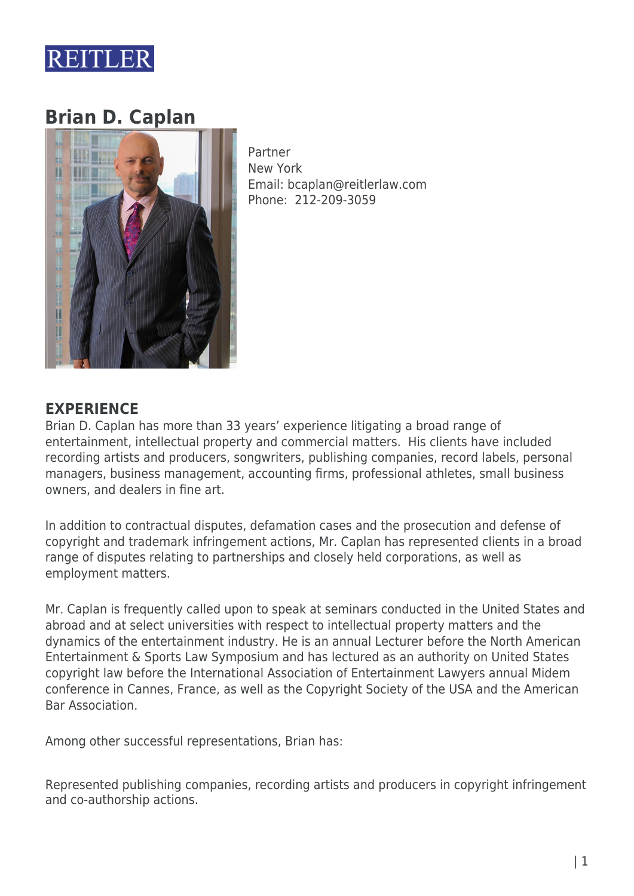

# **Brian D. Caplan**



Partner New York Email: bcaplan@reitlerlaw.com Phone: 212-209-3059

### **EXPERIENCE**

Brian D. Caplan has more than 33 years' experience litigating a broad range of entertainment, intellectual property and commercial matters. His clients have included recording artists and producers, songwriters, publishing companies, record labels, personal managers, business management, accounting firms, professional athletes, small business owners, and dealers in fine art.

In addition to contractual disputes, defamation cases and the prosecution and defense of copyright and trademark infringement actions, Mr. Caplan has represented clients in a broad range of disputes relating to partnerships and closely held corporations, as well as employment matters.

Mr. Caplan is frequently called upon to speak at seminars conducted in the United States and abroad and at select universities with respect to intellectual property matters and the dynamics of the entertainment industry. He is an annual Lecturer before the North American Entertainment & Sports Law Symposium and has lectured as an authority on United States copyright law before the International Association of Entertainment Lawyers annual Midem conference in Cannes, France, as well as the Copyright Society of the USA and the American Bar Association.

Among other successful representations, Brian has:

Represented publishing companies, recording artists and producers in copyright infringement and co-authorship actions.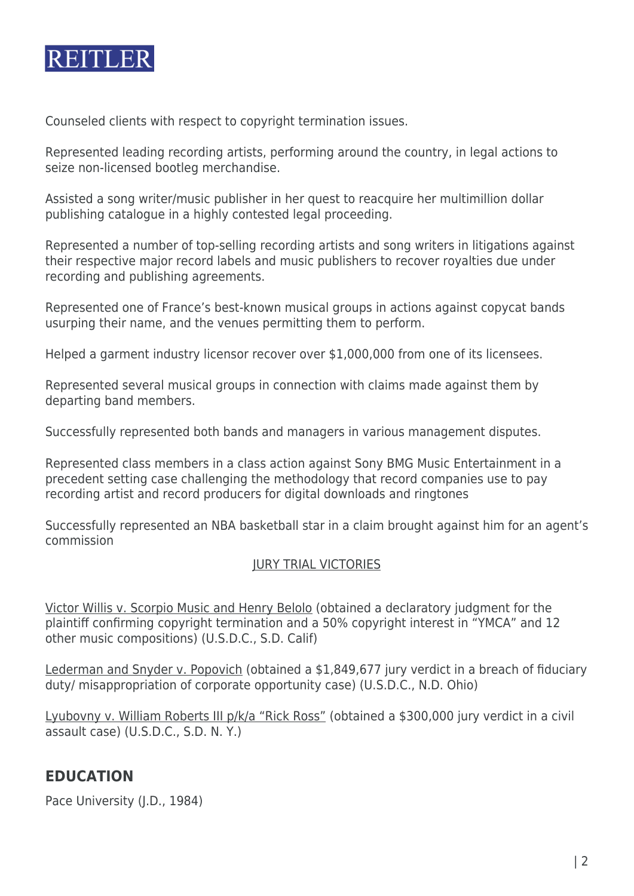

Counseled clients with respect to copyright termination issues.

Represented leading recording artists, performing around the country, in legal actions to seize non-licensed bootleg merchandise.

Assisted a song writer/music publisher in her quest to reacquire her multimillion dollar publishing catalogue in a highly contested legal proceeding.

Represented a number of top-selling recording artists and song writers in litigations against their respective major record labels and music publishers to recover royalties due under recording and publishing agreements.

Represented one of France's best-known musical groups in actions against copycat bands usurping their name, and the venues permitting them to perform.

Helped a garment industry licensor recover over \$1,000,000 from one of its licensees.

Represented several musical groups in connection with claims made against them by departing band members.

Successfully represented both bands and managers in various management disputes.

Represented class members in a class action against Sony BMG Music Entertainment in a precedent setting case challenging the methodology that record companies use to pay recording artist and record producers for digital downloads and ringtones

Successfully represented an NBA basketball star in a claim brought against him for an agent's commission

#### JURY TRIAL VICTORIES

Victor Willis v. Scorpio Music and Henry Belolo (obtained a declaratory judgment for the plaintiff confirming copyright termination and a 50% copyright interest in "YMCA" and 12 other music compositions) (U.S.D.C., S.D. Calif)

Lederman and Snyder v. Popovich (obtained a \$1,849,677 jury verdict in a breach of fiduciary duty/ misappropriation of corporate opportunity case) (U.S.D.C., N.D. Ohio)

Lyubovny v. William Roberts III p/k/a "Rick Ross" (obtained a \$300,000 jury verdict in a civil assault case) (U.S.D.C., S.D. N. Y.)

### **EDUCATION**

Pace University (J.D., 1984)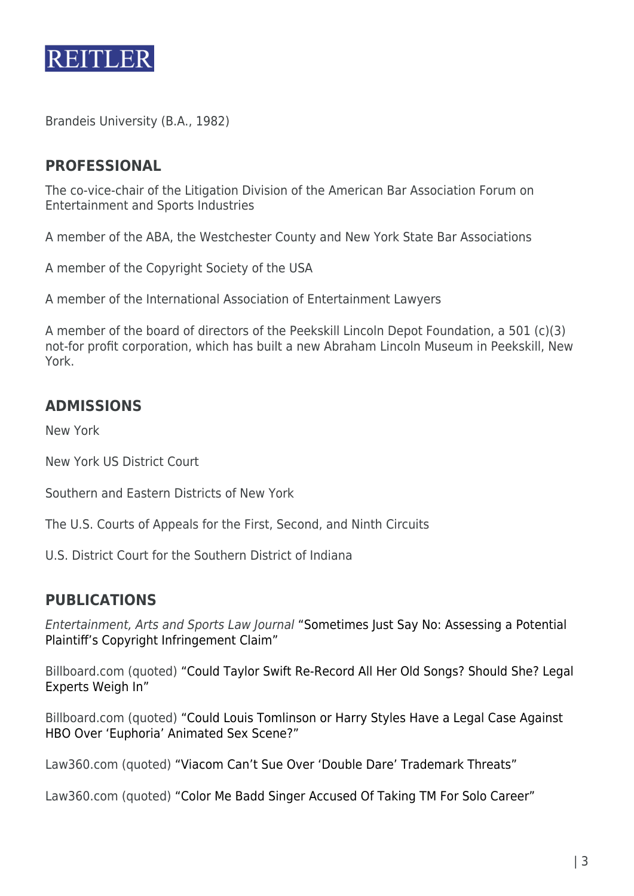

Brandeis University (B.A., 1982)

## **PROFESSIONAL**

The co-vice-chair of the Litigation Division of the American Bar Association Forum on Entertainment and Sports Industries

A member of the ABA, the Westchester County and New York State Bar Associations

A member of the Copyright Society of the USA

A member of the International Association of Entertainment Lawyers

A member of the board of directors of the Peekskill Lincoln Depot Foundation, a 501 (c)(3) not-for profit corporation, which has built a new Abraham Lincoln Museum in Peekskill, New York.

# **ADMISSIONS**

New York

New York US District Court

Southern and Eastern Districts of New York

The U.S. Courts of Appeals for the First, Second, and Ninth Circuits

U.S. District Court for the Southern District of Indiana

### **PUBLICATIONS**

Entertainment, Arts and Sports Law Journal ["Sometimes Just Say No: Assessing a Potential](https://www.reitlerlaw.com/wp-content/uploads/2020/10/Caplan-Sometimes-Just-Say-No-EASL-Journal-Summer-2020.pdf) [Plaintiff's Copyright Infringement Claim"](https://www.reitlerlaw.com/wp-content/uploads/2020/10/Caplan-Sometimes-Just-Say-No-EASL-Journal-Summer-2020.pdf)

Billboard.com (quoted) ["Could Taylor Swift Re-Record All Her Old Songs? Should She? Legal](http://r20.rs6.net/tn.jsp?f=001dS4V3wejepsB-jd3qRypBaxXseVfBLvqlG9IPYK-WIzRnQDNjqmWyfbrial4zvkmRaWW8OqMBmwIW9ZotOFTYnJorofiwEtHlQTa5yKDiI287gxpr9uNeYnJSj49a8tcAsNyTk-EpWB_S8oqo4YCB9ELfHKsVut3FMn_FuorRTEnxdDW765RIX3FKpl1oMJEazCv7IhdZ9pYPBH29uHL5hjUXNQJV337TGFByWWLCCltAqlN1CSdsJ32Uuswemat&c=ZgY6OAXRlmoQcNHjBFhI3_jk09Vzgs-blCRXPLF3tK9ifH7zu2Vj0g==&ch=evFwS9pHV8Tp6HgrhHZo1RaFmMOqTcLjROkFrv7uyJQD-yi2Zbg-cw==) [Experts Weigh In"](http://r20.rs6.net/tn.jsp?f=001dS4V3wejepsB-jd3qRypBaxXseVfBLvqlG9IPYK-WIzRnQDNjqmWyfbrial4zvkmRaWW8OqMBmwIW9ZotOFTYnJorofiwEtHlQTa5yKDiI287gxpr9uNeYnJSj49a8tcAsNyTk-EpWB_S8oqo4YCB9ELfHKsVut3FMn_FuorRTEnxdDW765RIX3FKpl1oMJEazCv7IhdZ9pYPBH29uHL5hjUXNQJV337TGFByWWLCCltAqlN1CSdsJ32Uuswemat&c=ZgY6OAXRlmoQcNHjBFhI3_jk09Vzgs-blCRXPLF3tK9ifH7zu2Vj0g==&ch=evFwS9pHV8Tp6HgrhHZo1RaFmMOqTcLjROkFrv7uyJQD-yi2Zbg-cw==)

Billboard.com (quoted) ["Could Louis Tomlinson or Harry Styles Have a Legal Case Against](http://r20.rs6.net/tn.jsp?f=001iUJHHkZ9u0EUbLRAxP1MzmmqDjyNk4KPu7e7FfROaiNfnGwpPWLczdlTIgsg6bfJ4Ro7eEx_GoaJb8xierAK2Od0pquxb1S8JyQJRqJCIsfBrK_tzuNzCFSy29zyibcbQp4daiLFZ9qJEGbGq_xTCtcO3jII4Nh1YprGGWTko20Km5D2NpguZ44bacXV86i_1PRPy5dA17YREQYQBzUZ8hzYJy258EN4q2bRmvuSY2oApBjH_ZTVuGhdYozB2GjE&c=yrIDvfMIjrX0FvUqjK5OFpfMw5jwFf--tHyh7oT2zEg07uPDIXX-sw==&ch=kl9j8RvnCQAV_lWpgABQLy9lcffHeK-P-tzi1cQXUeKTR-52HClEkg==) [HBO Over 'Euphoria' Animated Sex Scene?"](http://r20.rs6.net/tn.jsp?f=001iUJHHkZ9u0EUbLRAxP1MzmmqDjyNk4KPu7e7FfROaiNfnGwpPWLczdlTIgsg6bfJ4Ro7eEx_GoaJb8xierAK2Od0pquxb1S8JyQJRqJCIsfBrK_tzuNzCFSy29zyibcbQp4daiLFZ9qJEGbGq_xTCtcO3jII4Nh1YprGGWTko20Km5D2NpguZ44bacXV86i_1PRPy5dA17YREQYQBzUZ8hzYJy258EN4q2bRmvuSY2oApBjH_ZTVuGhdYozB2GjE&c=yrIDvfMIjrX0FvUqjK5OFpfMw5jwFf--tHyh7oT2zEg07uPDIXX-sw==&ch=kl9j8RvnCQAV_lWpgABQLy9lcffHeK-P-tzi1cQXUeKTR-52HClEkg==)

Law360.com (quoted) ["Viacom Can't Sue Over 'Double Dare' Trademark Threats"](http://r20.rs6.net/tn.jsp?f=001ThIeCFOqko1IMQtKQYgf-oA29iRiuVP7bj-Vq4FmKE5PAvARd72ATGWYIhdPT1RgJD0E7XiPBZAPpwzvwiWE7kli7dq5_4EtNkuBpFC2LjUCtLL3VxDvkXOezBgH6vAKz1RAfHNViCcafl2sGvv9nRjWohA2raU7zwGorRFn6AKP2lStM7hLEhUfqIwFLT8JTjBLEvwo9CZN3_vSCQbfMc8ofl7p0qzst3ABo_pdXwA=&c=THZj0HHG_3Hugj3CCzSp81SmwnQHQUUxZzsSlXNCiHb5etitQogHRQ==&ch=sFx2HYpS4CzjUn8523904qe5YP2hf4Dz7FioGgys9obDnJJnQik-Mg==)

Law360.com (quoted) ["Color Me Badd Singer Accused Of Taking TM For Solo Career"](http://r20.rs6.net/tn.jsp?f=001iUJHHkZ9u0EUbLRAxP1MzmmqDjyNk4KPu7e7FfROaiNfnGwpPWLczdlTIgsg6bfJR6JoueB_IXL22RnpEEft3_-ids93d4SIw0YKqJ_zmGDvVYDnRFHN3mkus5_dBj3Vi-y9b7oRmc8WLzpjAmkajxfYi2A0LcYkTwEzVDdzKS4b4F0c92dYcCEvhC7UQNMWgIk2u_6LB6rJk74rWfKqHFTlGIWibhFskkB5-L00-w8=&c=yrIDvfMIjrX0FvUqjK5OFpfMw5jwFf--tHyh7oT2zEg07uPDIXX-sw==&ch=kl9j8RvnCQAV_lWpgABQLy9lcffHeK-P-tzi1cQXUeKTR-52HClEkg==)